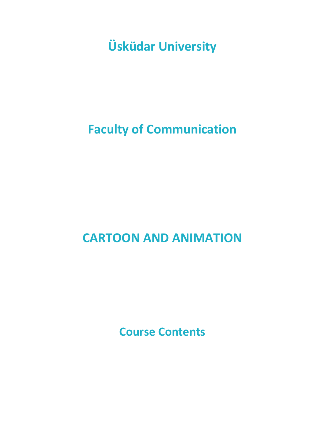**Üsküdar University**

# **Faculty of Communication**

# **CARTOON AND ANIMATION**

**Course Contents**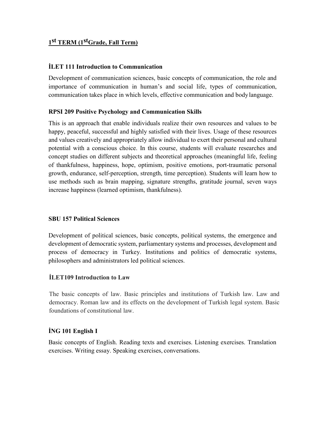# **1st TERM (1stGrade, Fall Term)**

# **İLET 111 Introduction to Communication**

Development of communication sciences, basic concepts of communication, the role and importance of communication in human's and social life, types of communication, communication takes place in which levels, effective communication and bodylanguage.

# **RPSI 209 Positive Psychology and Communication Skills**

This is an approach that enable individuals realize their own resources and values to be happy, peaceful, successful and highly satisfied with their lives. Usage of these resources and values creatively and appropriately allow individual to exert their personal and cultural potential with a conscious choice. In this course, students will evaluate researches and concept studies on different subjects and theoretical approaches (meaningful life, feeling of thankfulness, happiness, hope, optimism, positive emotions, port-traumatic personal growth, endurance, self-perception, strength, time perception). Students will learn how to use methods such as brain mapping, signature strengths, gratitude journal, seven ways increase happiness (learned optimism, thankfulness).

# **SBU 157 Political Sciences**

Development of political sciences, basic concepts, political systems, the emergence and development of democratic system, parliamentary systems and processes, development and process of democracy in Turkey. Institutions and politics of democratic systems, philosophers and administrators led political sciences.

# **İLET109 Introduction to Law**

The basic concepts of law. Basic principles and institutions of Turkish law. Law and democracy. Roman law and its effects on the development of Turkish legal system. Basic foundations of constitutional law.

# **İNG 101 English I**

Basic concepts of English. Reading texts and exercises. Listening exercises. Translation exercises. Writing essay. Speaking exercises, conversations.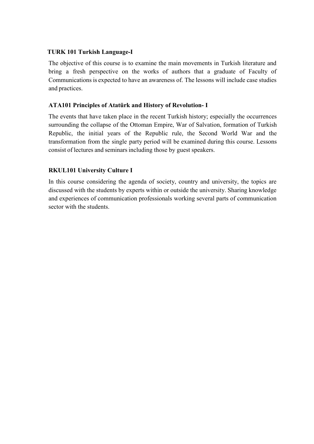# **TURK 101 Turkish Language-I**

The objective of this course is to examine the main movements in Turkish literature and bring a fresh perspective on the works of authors that a graduate of Faculty of Communications is expected to have an awareness of. The lessons will include case studies and practices.

# **ATA101 Principles of Atatürk and History of Revolution- I**

The events that have taken place in the recent Turkish history; especially the occurrences surrounding the collapse of the Ottoman Empire, War of Salvation, formation of Turkish Republic, the initial years of the Republic rule, the Second World War and the transformation from the single party period will be examined during this course. Lessons consist of lectures and seminarsincluding those by guest speakers.

# **RKUL101 University Culture I**

In this course considering the agenda of society, country and university, the topics are discussed with the students by experts within or outside the university. Sharing knowledge and experiences of communication professionals working several parts of communication sector with the students.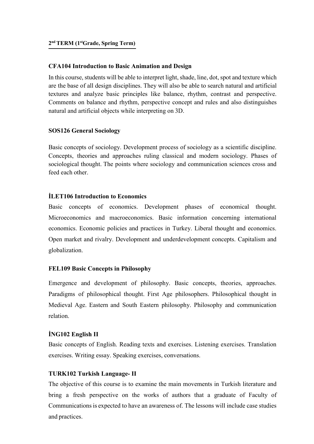# **CFA104 Introduction to Basic Animation and Design**

In this course, students will be able to interpret light, shade, line, dot, spot and texture which are the base of all design disciplines. They will also be able to search natural and artificial textures and analyze basic principles like balance, rhythm, contrast and perspective. Comments on balance and rhythm, perspective concept and rules and also distinguishes natural and artificial objects while interpreting on 3D.

# **SOS126 General Sociology**

Basic concepts of sociology. Development process of sociology as a scientific discipline. Concepts, theories and approaches ruling classical and modern sociology. Phases of sociological thought. The points where sociology and communication sciences cross and feed each other.

# **İLET106 Introduction to Economics**

Basic concepts of economics. Development phases of economical thought. Microeconomics and macroeconomics. Basic information concerning international economics. Economic policies and practices in Turkey. Liberal thought and economics. Open market and rivalry. Development and underdevelopment concepts. Capitalism and globalization.

# **FEL109 Basic Concepts in Philosophy**

Emergence and development of philosophy. Basic concepts, theories, approaches. Paradigms of philosophical thought. First Age philosophers. Philosophical thought in Medieval Age. Eastern and South Eastern philosophy. Philosophy and communication relation.

# **İNG102 English II**

Basic concepts of English. Reading texts and exercises. Listening exercises. Translation exercises. Writing essay. Speaking exercises, conversations.

# **TURK102 Turkish Language- II**

The objective of this course is to examine the main movements in Turkish literature and bring a fresh perspective on the works of authors that a graduate of Faculty of Communications is expected to have an awareness of. The lessons will include case studies and practices.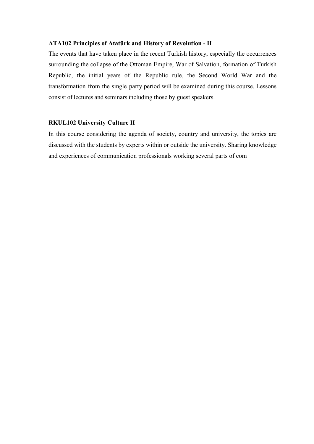## **ATA102 Principles of Atatürk and History of Revolution - II**

The events that have taken place in the recent Turkish history; especially the occurrences surrounding the collapse of the Ottoman Empire, War of Salvation, formation of Turkish Republic, the initial years of the Republic rule, the Second World War and the transformation from the single party period will be examined during this course. Lessons consist of lectures and seminars including those by guest speakers.

#### **RKUL102 University Culture II**

In this course considering the agenda of society, country and university, the topics are discussed with the students by experts within or outside the university. Sharing knowledge and experiences of communication professionals working several parts of com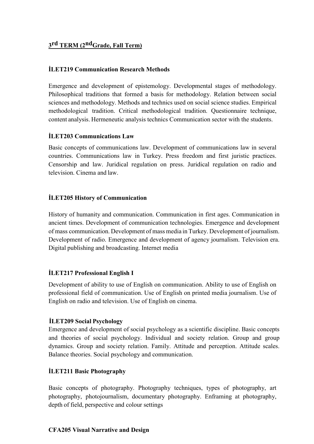# **3rd TERM (2ndGrade, Fall Term)**

# **İLET219 Communication Research Methods**

Emergence and development of epistemology. Developmental stages of methodology. Philosophical traditions that formed a basis for methodology. Relation between social sciences and methodology. Methods and technics used on social science studies. Empirical methodological tradition. Critical methodological tradition. Questionnaire technique, content analysis. Hermeneutic analysis technics Communication sector with the students.

# **İLET203 Communications Law**

Basic concepts of communications law. Development of communications law in several countries. Communications law in Turkey. Press freedom and first juristic practices. Censorship and law. Juridical regulation on press. Juridical regulation on radio and television. Cinema and law.

# **İLET205 History of Communication**

History of humanity and communication. Communication in first ages. Communication in ancient times. Development of communication technologies. Emergence and development of mass communication. Development of mass media in Turkey. Development of journalism. Development of radio. Emergence and development of agency journalism. Television era. Digital publishing and broadcasting. Internet media

# **İLET217 Professional English I**

Development of ability to use of English on communication. Ability to use of English on professional field of communication. Use of English on printed media journalism. Use of English on radio and television. Use of English on cinema.

# **İLET209 Social Psychology**

Emergence and development of social psychology as a scientific discipline. Basic concepts and theories of social psychology. Individual and society relation. Group and group dynamics. Group and society relation. Family. Attitude and perception. Attitude scales. Balance theories. Social psychology and communication.

# **İLET211 Basic Photography**

Basic concepts of photography. Photography techniques, types of photography, art photography, photojournalism, documentary photography. Enframing at photography, depth of field, perspective and colour settings

#### **CFA205 Visual Narrative and Design**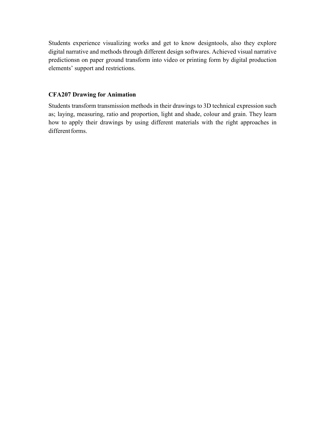Students experience visualizing works and get to know designtools, also they explore digital narrative and methods through different design softwares. Achieved visual narrative predictionsn on paper ground transform into video or printing form by digital production elements' support and restrictions.

# **CFA207 Drawing for Animation**

Students transform transmission methods in their drawings to 3D technical expression such as; laying, measuring, ratio and proportion, light and shade, colour and grain. They learn how to apply their drawings by using different materials with the right approaches in different forms.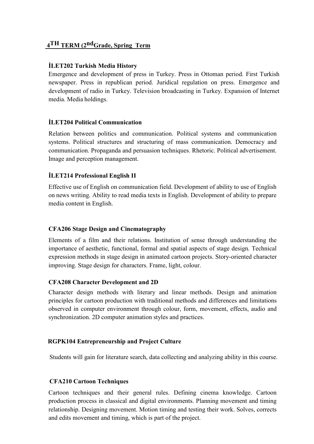# **4TH TERM (2ndGrade, Spring Term**

# **İLET202 Turkish Media History**

Emergence and development of press in Turkey. Press in Ottoman period. First Turkish newspaper. Press in republican period. Juridical regulation on press. Emergence and development of radio in Turkey. Television broadcasting in Turkey. Expansion of Internet media. Media holdings.

# **İLET204 Political Communication**

Relation between politics and communication. Political systems and communication systems. Political structures and structuring of mass communication. Democracy and communication. Propaganda and persuasion techniques. Rhetoric. Political advertisement. Image and perception management.

# **İLET214 Professional English II**

Effective use of English on communication field. Development of ability to use of English on news writing. Ability to read media texts in English. Development of ability to prepare media content in English.

# **CFA206 Stage Design and Cinematography**

Elements of a film and their relations. Institution of sense through understanding the importance of aesthetic, functional, formal and spatial aspects of stage design. Technical expression methods in stage design in animated cartoon projects. Story-oriented character improving. Stage design for characters. Frame, light, colour.

# **CFA208 Character Development and 2D**

Character design methods with literary and linear methods. Design and animation principles for cartoon production with traditional methods and differences and limitations observed in computer environment through colour, form, movement, effects, audio and synchronization. 2D computer animation styles and practices.

# **RGPK104 Entrepreneurship and Project Culture**

Students will gain for literature search, data collecting and analyzing ability in this course.

# **CFA210 Cartoon Techniques**

Cartoon techniques and their general rules. Defining cinema knowledge. Cartoon production process in classical and digital environments. Planning movement and timing relationship. Designing movement. Motion timing and testing their work. Solves, corrects and edits movement and timing, which is part of the project.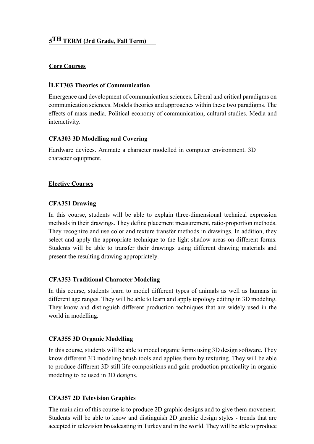# **5TH TERM (3rd Grade, Fall Term)**

# **Core Courses**

# **İLET303 Theories of Communication**

Emergence and development of communication sciences. Liberal and critical paradigms on communication sciences. Models theories and approaches within these two paradigms. The effects of mass media. Political economy of communication, cultural studies. Media and interactivity.

# **CFA303 3D Modelling and Covering**

Hardware devices. Animate a character modelled in computer environment. 3D character equipment.

# **Elective Courses**

# **CFA351 Drawing**

In this course, students will be able to explain three-dimensional technical expression methods in their drawings. They define placement measurement, ratio-proportion methods. They recognize and use color and texture transfer methods in drawings. In addition, they select and apply the appropriate technique to the light-shadow areas on different forms. Students will be able to transfer their drawings using different drawing materials and present the resulting drawing appropriately.

# **CFA353 Traditional Character Modeling**

In this course, students learn to model different types of animals as well as humans in different age ranges. They will be able to learn and apply topology editing in 3D modeling. They know and distinguish different production techniques that are widely used in the world in modelling.

# **CFA355 3D Organic Modelling**

In this course, students will be able to model organic forms using 3D design software. They know different 3D modeling brush tools and applies them by texturing. They will be able to produce different 3D still life compositions and gain production practicality in organic modeling to be used in 3D designs.

# **CFA357 2D Television Graphics**

The main aim of this course is to produce 2D graphic designs and to give them movement. Students will be able to know and distinguish 2D graphic design styles - trends that are accepted in television broadcasting in Turkey and in the world. They will be able to produce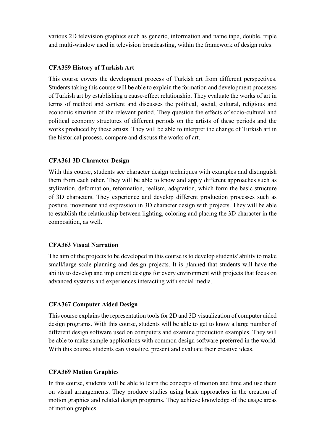various 2D television graphics such as generic, information and name tape, double, triple and multi-window used in television broadcasting, within the framework of design rules.

## **CFA359 History of Turkish Art**

This course covers the development process of Turkish art from different perspectives. Students taking this course will be able to explain the formation and development processes of Turkish art by establishing a cause-effect relationship. They evaluate the works of art in terms of method and content and discusses the political, social, cultural, religious and economic situation of the relevant period. They question the effects of socio-cultural and political economy structures of different periods on the artists of these periods and the works produced by these artists. They will be able to interpret the change of Turkish art in the historical process, compare and discuss the works of art.

## **CFA361 3D Character Design**

With this course, students see character design techniques with examples and distinguish them from each other. They will be able to know and apply different approaches such as stylization, deformation, reformation, realism, adaptation, which form the basic structure of 3D characters. They experience and develop different production processes such as posture, movement and expression in 3D character design with projects. They will be able to establish the relationship between lighting, coloring and placing the 3D character in the composition, as well.

#### **CFA363 Visual Narration**

The aim of the projects to be developed in this course is to develop students' ability to make small/large scale planning and design projects. It is planned that students will have the ability to develop and implement designs for every environment with projects that focus on advanced systems and experiences interacting with social media.

# **CFA367 Computer Aided Design**

This course explains the representation tools for 2D and 3D visualization of computer aided design programs. With this course, students will be able to get to know a large number of different design software used on computers and examine production examples. They will be able to make sample applications with common design software preferred in the world. With this course, students can visualize, present and evaluate their creative ideas.

# **CFA369 Motion Graphics**

In this course, students will be able to learn the concepts of motion and time and use them on visual arrangements. They produce studies using basic approaches in the creation of motion graphics and related design programs. They achieve knowledge of the usage areas of motion graphics.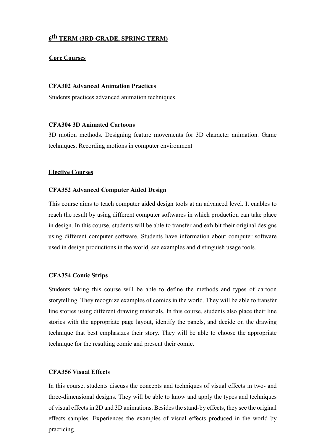# **6th TERM (3RD GRADE, SPRING TERM)**

#### **Core Courses**

#### **CFA302 Advanced Animation Practices**

Students practices advanced animation techniques.

#### **CFA304 3D Animated Cartoons**

3D motion methods. Designing feature movements for 3D character animation. Game techniques. Recording motions in computer environment

#### **Elective Courses**

#### **CFA352 Advanced Computer Aided Design**

This course aims to teach computer aided design tools at an advanced level. It enables to reach the result by using different computer softwares in which production can take place in design. In this course, students will be able to transfer and exhibit their original designs using different computer software. Students have information about computer software used in design productions in the world, see examples and distinguish usage tools.

#### **CFA354 Comic Strips**

Students taking this course will be able to define the methods and types of cartoon storytelling. They recognize examples of comics in the world. They will be able to transfer line stories using different drawing materials. In this course, students also place their line stories with the appropriate page layout, identify the panels, and decide on the drawing technique that best emphasizes their story. They will be able to choose the appropriate technique for the resulting comic and present their comic.

#### **CFA356 Visual Effects**

In this course, students discuss the concepts and techniques of visual effects in two- and three-dimensional designs. They will be able to know and apply the types and techniques of visual effects in 2D and 3D animations. Besides the stand-by effects, they see the original effects samples. Experiences the examples of visual effects produced in the world by practicing.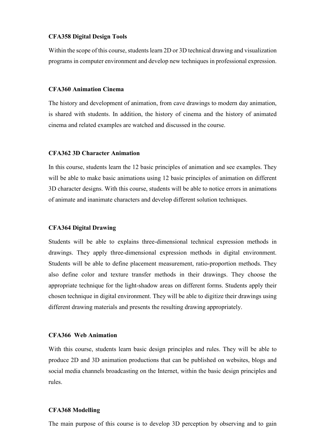#### **CFA358 Digital Design Tools**

Within the scope of this course, students learn 2D or 3D technical drawing and visualization programs in computer environment and develop new techniques in professional expression.

#### **CFA360 Animation Cinema**

The history and development of animation, from cave drawings to modern day animation, is shared with students. In addition, the history of cinema and the history of animated cinema and related examples are watched and discussed in the course.

#### **CFA362 3D Character Animation**

In this course, students learn the 12 basic principles of animation and see examples. They will be able to make basic animations using 12 basic principles of animation on different 3D character designs. With this course, students will be able to notice errors in animations of animate and inanimate characters and develop different solution techniques.

#### **CFA364 Digital Drawing**

Students will be able to explains three-dimensional technical expression methods in drawings. They apply three-dimensional expression methods in digital environment. Students will be able to define placement measurement, ratio-proportion methods. They also define color and texture transfer methods in their drawings. They choose the appropriate technique for the light-shadow areas on different forms. Students apply their chosen technique in digital environment. They will be able to digitize their drawings using different drawing materials and presents the resulting drawing appropriately.

#### **CFA366 Web Animation**

With this course, students learn basic design principles and rules. They will be able to produce 2D and 3D animation productions that can be published on websites, blogs and social media channels broadcasting on the Internet, within the basic design principles and rules.

#### **CFA368 Modelling**

The main purpose of this course is to develop 3D perception by observing and to gain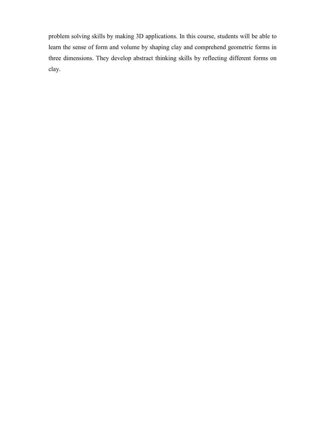problem solving skills by making 3D applications. In this course, students will be able to learn the sense of form and volume by shaping clay and comprehend geometric forms in three dimensions. They develop abstract thinking skills by reflecting different forms on clay.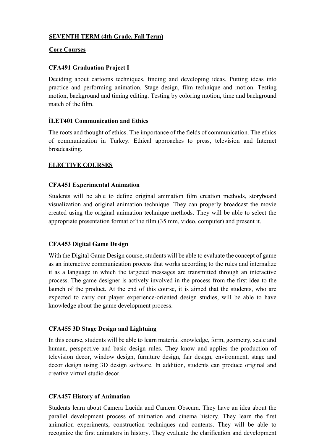# **SEVENTH TERM (4th Grade, Fall Term)**

## **Core Courses**

# **CFA491 Graduation Project I**

Deciding about cartoons techniques, finding and developing ideas. Putting ideas into practice and performing animation. Stage design, film technique and motion. Testing motion, background and timing editing. Testing by coloring motion, time and background match of the film.

# **İLET401 Communication and Ethics**

The roots and thought of ethics. The importance of the fields of communication. The ethics of communication in Turkey. Ethical approaches to press, television and Internet broadcasting.

# **ELECTIVE COURSES**

# **CFA451 Experimental Animation**

Students will be able to define original animation film creation methods, storyboard visualization and original animation technique. They can properly broadcast the movie created using the original animation technique methods. They will be able to select the appropriate presentation format of the film (35 mm, video, computer) and present it.

# **CFA453 Digital Game Design**

With the Digital Game Design course, students will be able to evaluate the concept of game as an interactive communication process that works according to the rules and internalize it as a language in which the targeted messages are transmitted through an interactive process. The game designer is actively involved in the process from the first idea to the launch of the product. At the end of this course, it is aimed that the students, who are expected to carry out player experience-oriented design studies, will be able to have knowledge about the game development process.

# **CFA455 3D Stage Design and Lightning**

In this course, students will be able to learn material knowledge, form, geometry, scale and human, perspective and basic design rules. They know and applies the production of television decor, window design, furniture design, fair design, environment, stage and decor design using 3D design software. In addition, students can produce original and creative virtual studio decor.

# **CFA457 History of Animation**

Students learn about Camera Lucida and Camera Obscura. They have an idea about the parallel development process of animation and cinema history. They learn the first animation experiments, construction techniques and contents. They will be able to recognize the first animators in history. They evaluate the clarification and development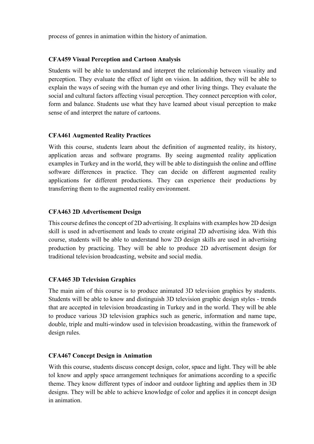process of genres in animation within the history of animation.

# **CFA459 Visual Perception and Cartoon Analysis**

Students will be able to understand and interpret the relationship between visuality and perception. They evaluate the effect of light on vision. In addition, they will be able to explain the ways of seeing with the human eye and other living things. They evaluate the social and cultural factors affecting visual perception. They connect perception with color, form and balance. Students use what they have learned about visual perception to make sense of and interpret the nature of cartoons.

# **CFA461 Augmented Reality Practices**

With this course, students learn about the definition of augmented reality, its history, application areas and software programs. By seeing augmented reality application examples in Turkey and in the world, they will be able to distinguish the online and offline software differences in practice. They can decide on different augmented reality applications for different productions. They can experience their productions by transferring them to the augmented reality environment.

## **CFA463 2D Advertisement Design**

This course defines the concept of 2D advertising. It explains with examples how 2D design skill is used in advertisement and leads to create original 2D advertising idea. With this course, students will be able to understand how 2D design skills are used in advertising production by practicing. They will be able to produce 2D advertisement design for traditional television broadcasting, website and social media.

#### **CFA465 3D Television Graphics**

The main aim of this course is to produce animated 3D television graphics by students. Students will be able to know and distinguish 3D television graphic design styles - trends that are accepted in television broadcasting in Turkey and in the world. They will be able to produce various 3D television graphics such as generic, information and name tape, double, triple and multi-window used in television broadcasting, within the framework of design rules.

#### **CFA467 Concept Design in Animation**

With this course, students discuss concept design, color, space and light. They will be able tol know and apply space arrangement techniques for animations according to a specific theme. They know different types of indoor and outdoor lighting and applies them in 3D designs. They will be able to achieve knowledge of color and applies it in concept design in animation.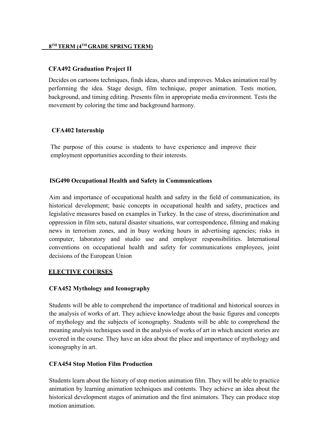## **8TH TERM (4TH GRADE SPRING TERM)**

## **CFA492 Graduation Project II**

Decides on cartoons techniques, finds ideas, shares and improves. Makes animation real by performing the idea. Stage design, film technique, proper animation. Tests motion, background, and timing editing. Presents film in appropriate media environment. Tests the movement by coloring the time and background harmony.

# **CFA402 Internship**

The purpose of this course is students to have experience and improve their employment opportunities according to their interests.

# **ISG490 Occupational Health and Safety in Communications**

Aim and importance of occupational health and safety in the field of communication, its historical development; basic concepts in occupational health and safety, practices and legislative measures based on examples in Turkey. In the case of stress, discrimination and oppression in film sets, natural disaster situations, war correspondence, filming and making news in terrorism zones, and in busy working hours in advertising agencies; risks in computer, laboratory and studio use and employer responsibilities. International conventions on occupational health and safety for communications employees, joint decisions of the European Union

# **ELECTIVE COURSES**

# **CFA452 Mythology and Iconography**

Students will be able to comprehend the importance of traditional and historical sources in the analysis of works of art. They achieve knowledge about the basic figures and concepts of mythology and the subjects of iconography. Students will be able to comprehend the meaning analysis techniques used in the analysis of works of art in which ancient stories are covered in the course. They have an idea about the place and importance of mythology and iconography in art.

# **CFA454 Stop Motion Film Production**

Students learn about the history of stop motion animation film. They will be able to practice animation by learning animation techniques and contents. They achieve an idea about the historical development stages of animation and the first animators. They can produce stop motion animation.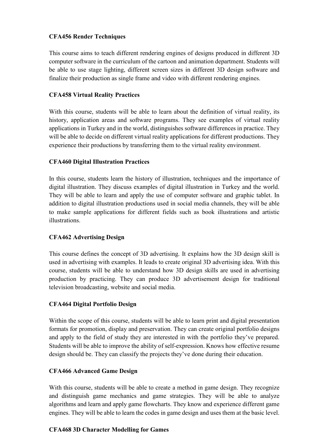# **CFA456 Render Techniques**

This course aims to teach different rendering engines of designs produced in different 3D computer software in the curriculum of the cartoon and animation department. Students will be able to use stage lighting, different screen sizes in different 3D design software and finalize their production as single frame and video with different rendering engines.

# **CFA458 Virtual Reality Practices**

With this course, students will be able to learn about the definition of virtual reality, its history, application areas and software programs. They see examples of virtual reality applications in Turkey and in the world, distinguishes software differences in practice. They will be able to decide on different virtual reality applications for different productions. They experience their productions by transferring them to the virtual reality environment.

# **CFA460 Digital Illustration Practices**

In this course, students learn the history of illustration, techniques and the importance of digital illustration. They discuss examples of digital illustration in Turkey and the world. They will be able to learn and apply the use of computer software and graphic tablet. In addition to digital illustration productions used in social media channels, they will be able to make sample applications for different fields such as book illustrations and artistic illustrations.

# **CFA462 Advertising Design**

This course defines the concept of 3D advertising. It explains how the 3D design skill is used in advertising with examples. It leads to create original 3D advertising idea. With this course, students will be able to understand how 3D design skills are used in advertising production by practicing. They can produce 3D advertisement design for traditional television broadcasting, website and social media.

# **CFA464 Digital Portfolio Design**

Within the scope of this course, students will be able to learn print and digital presentation formats for promotion, display and preservation. They can create original portfolio designs and apply to the field of study they are interested in with the portfolio they've prepared. Students will be able to improve the ability of self-expression. Knows how effective resume design should be. They can classify the projects they've done during their education.

# **CFA466 Advanced Game Design**

With this course, students will be able to create a method in game design. They recognize and distinguish game mechanics and game strategies. They will be able to analyze algorithms and learn and apply game flowcharts. They know and experience different game engines. They will be able to learn the codes in game design and uses them at the basic level.

# **CFA468 3D Character Modelling for Games**